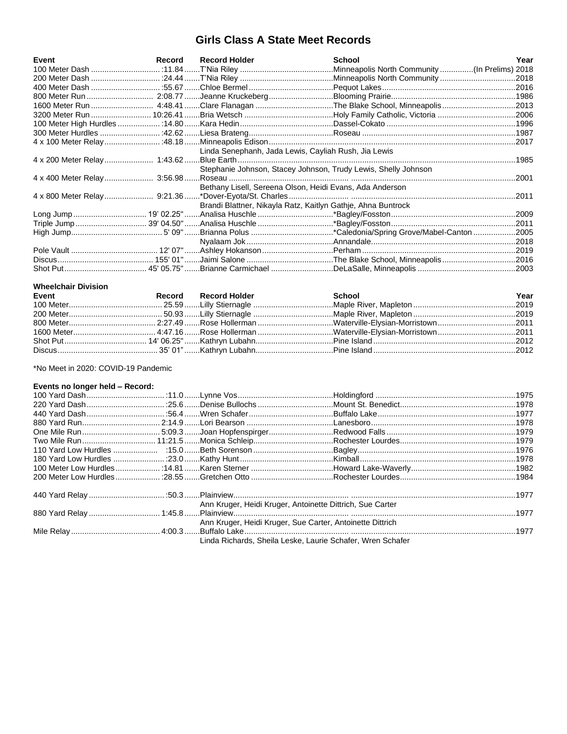## **Girls Class A State Meet Records**

| Event | Record | <b>Record Holder</b>                                           | <b>School</b> | Year  |
|-------|--------|----------------------------------------------------------------|---------------|-------|
|       |        |                                                                |               |       |
|       |        |                                                                |               |       |
|       |        |                                                                |               |       |
|       |        |                                                                |               |       |
|       |        |                                                                |               |       |
|       |        |                                                                |               |       |
|       |        |                                                                |               |       |
|       |        |                                                                |               |       |
|       |        |                                                                |               |       |
|       |        | Linda Senephanh, Jada Lewis, Cayliah Rush, Jia Lewis           |               |       |
|       |        |                                                                |               |       |
|       |        | Stephanie Johnson, Stacey Johnson, Trudy Lewis, Shelly Johnson |               |       |
|       |        |                                                                |               | .2001 |
|       |        | Bethany Lisell, Sereena Olson, Heidi Evans, Ada Anderson       |               |       |
|       |        |                                                                |               | .2011 |
|       |        | Brandi Blattner, Nikayla Ratz, Kaitlyn Gathje, Ahna Buntrock   |               |       |
|       |        |                                                                |               |       |
|       |        |                                                                |               |       |
|       |        |                                                                |               |       |
|       |        |                                                                |               |       |
|       |        |                                                                |               |       |
|       |        |                                                                |               |       |
|       |        |                                                                |               |       |

## **Wheelchair Division**

| Event | Record Record Holder | School | Year |
|-------|----------------------|--------|------|
|       |                      |        |      |
|       |                      |        |      |
|       |                      |        |      |
|       |                      |        |      |
|       |                      |        |      |
|       |                      |        |      |

\*No Meet in 2020: COVID-19 Pandemic

### Events no longer held - Record:

| Events no longer held – Record: |                                                           |                                                            |  |
|---------------------------------|-----------------------------------------------------------|------------------------------------------------------------|--|
|                                 |                                                           |                                                            |  |
|                                 |                                                           |                                                            |  |
|                                 |                                                           |                                                            |  |
|                                 |                                                           |                                                            |  |
|                                 |                                                           |                                                            |  |
|                                 |                                                           |                                                            |  |
|                                 |                                                           |                                                            |  |
|                                 |                                                           |                                                            |  |
|                                 |                                                           |                                                            |  |
|                                 |                                                           |                                                            |  |
|                                 |                                                           |                                                            |  |
|                                 | Ann Kruger, Heidi Kruger, Antoinette Dittrich, Sue Carter |                                                            |  |
|                                 |                                                           |                                                            |  |
|                                 | Ann Kruger, Heidi Kruger, Sue Carter, Antoinette Dittrich |                                                            |  |
|                                 |                                                           |                                                            |  |
|                                 |                                                           | Linda Richards, Sheila Leske, Laurie Schafer, Wren Schafer |  |
|                                 |                                                           |                                                            |  |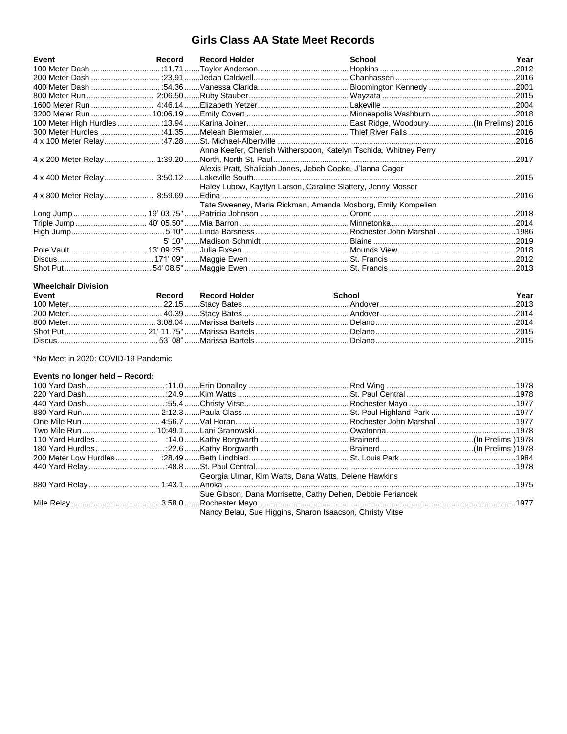# **Girls Class AA State Meet Records**

| Event | Record Record Holder                                             | <b>School</b> | Year  |
|-------|------------------------------------------------------------------|---------------|-------|
|       |                                                                  |               | .2012 |
|       |                                                                  |               |       |
|       |                                                                  |               |       |
|       |                                                                  |               |       |
|       |                                                                  |               |       |
|       |                                                                  |               |       |
|       |                                                                  |               |       |
|       |                                                                  |               |       |
|       |                                                                  |               |       |
|       | Anna Keefer, Cherish Witherspoon, Katelyn Tschida, Whitney Perry |               |       |
|       |                                                                  |               |       |
|       | Alexis Pratt, Shaliciah Jones, Jebeh Cooke, J'lanna Cager        |               |       |
|       |                                                                  |               | .2015 |
|       | Haley Lubow, Kaytlyn Larson, Caraline Slattery, Jenny Mosser     |               |       |
|       |                                                                  |               | .2016 |
|       | Tate Sweeney, Maria Rickman, Amanda Mosborg, Emily Kompelien     |               |       |
|       |                                                                  |               |       |
|       |                                                                  |               |       |
|       |                                                                  |               |       |
|       |                                                                  |               |       |
|       |                                                                  |               |       |
|       |                                                                  |               |       |
|       |                                                                  |               |       |

#### **Wheelchair Division**

| Event | Record Record Holder | School | Year |
|-------|----------------------|--------|------|
|       |                      |        |      |
|       |                      |        |      |
|       |                      |        |      |
|       |                      |        |      |
|       |                      |        |      |

\*No Meet in 2020: COVID-19 Pandemic

## Events no longer held - Record:

|  | Georgia Ulmar, Kim Watts, Dana Watts, Delene Hawkins       |  |
|--|------------------------------------------------------------|--|
|  |                                                            |  |
|  | Sue Gibson, Dana Morrisette, Cathy Dehen, Debbie Feriancek |  |
|  |                                                            |  |
|  | Nancy Belau, Sue Higgins, Sharon Isaacson, Christy Vitse   |  |